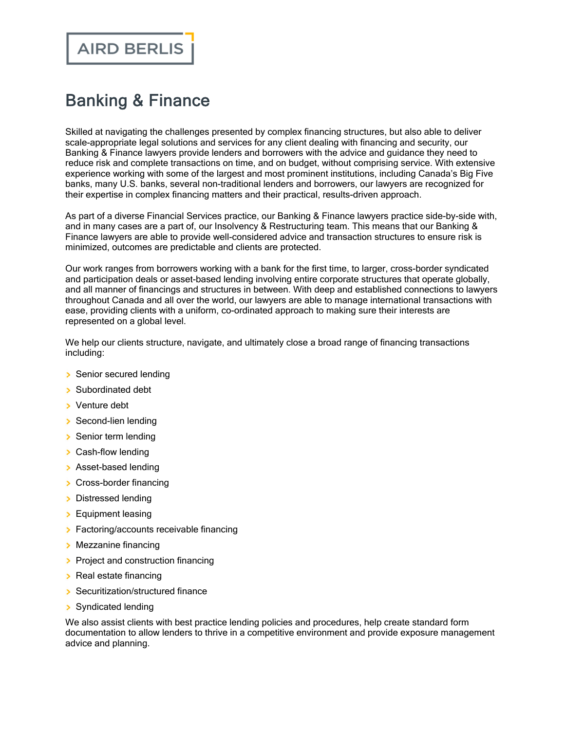## Banking & Finance

Skilled at navigating the challenges presented by complex financing structures, but also able to deliver scale-appropriate legal solutions and services for any client dealing with financing and security, our Banking & Finance lawyers provide lenders and borrowers with the advice and guidance they need to reduce risk and complete transactions on time, and on budget, without comprising service. With extensive experience working with some of the largest and most prominent institutions, including Canada's Big Five banks, many U.S. banks, several non-traditional lenders and borrowers, our lawyers are recognized for their expertise in complex financing matters and their practical, results-driven approach.

As part of a diverse Financial Services practice, our Banking & Finance lawyers practice side-by-side with, and in many cases are a part of, our Insolvency & Restructuring team. This means that our Banking & Finance lawyers are able to provide well-considered advice and transaction structures to ensure risk is minimized, outcomes are predictable and clients are protected.

Our work ranges from borrowers working with a bank for the first time, to larger, cross-border syndicated and participation deals or asset-based lending involving entire corporate structures that operate globally, and all manner of financings and structures in between. With deep and established connections to lawyers throughout Canada and all over the world, our lawyers are able to manage international transactions with ease, providing clients with a uniform, co-ordinated approach to making sure their interests are represented on a global level.

We help our clients structure, navigate, and ultimately close a broad range of financing transactions including:

- Senior secured lending
- Subordinated debt
- **Venture debt**
- Second-lien lending
- Senior term lending
- > Cash-flow lending
- > Asset-based lending
- > Cross-border financing
- > Distressed lending
- **Equipment leasing**
- **Factoring/accounts receivable financing**
- **Mezzanine financing**
- Project and construction financing
- $\triangleright$  Real estate financing
- Securitization/structured finance
- > Syndicated lending

We also assist clients with best practice lending policies and procedures, help create standard form documentation to allow lenders to thrive in a competitive environment and provide exposure management advice and planning.